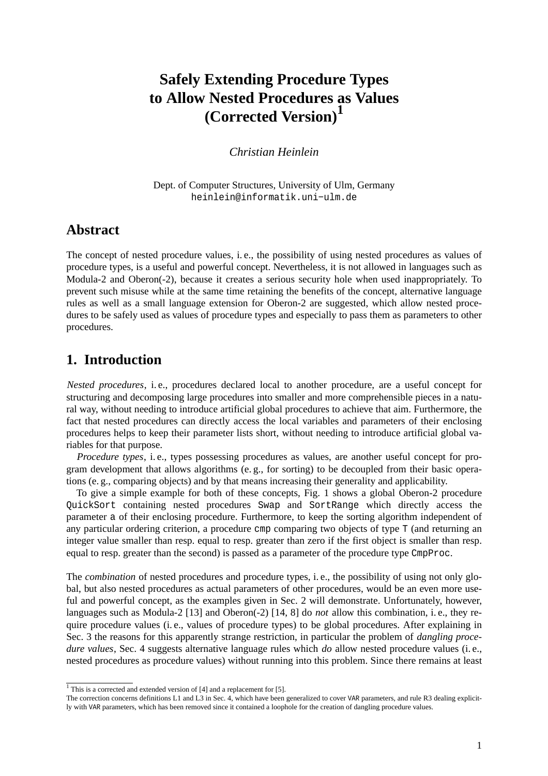# **Safely Extending Procedure Types to Allow Nested Procedures as Values (Corrected Version)<sup>1</sup>**

#### *Christian Heinlein*

Dept. of Computer Structures, University of Ulm, Germany heinlein@informatik.uni−ulm.de

### **Abstract**

The concept of nested procedure values, i. e., the possibility of using nested procedures as values of procedure types, is a useful and powerful concept. Nevertheless, it is not allowed in languages such as Modula-2 and Oberon(-2), because it creates a serious security hole when used inappropriately. To prevent such misuse while at the same time retaining the benefits of the concept, alternative language rules as well as a small language extension for Oberon-2 are suggested, which allow nested procedures to be safely used as values of procedure types and especially to pass them as parameters to other procedures.

### **1. Introduction**

*Nested procedures*, i. e., procedures declared local to another procedure, are a useful concept for structuring and decomposing large procedures into smaller and more comprehensible pieces in a natural way, without needing to introduce artificial global procedures to achieve that aim. Furthermore, the fact that nested procedures can directly access the local variables and parameters of their enclosing procedures helps to keep their parameter lists short, without needing to introduce artificial global variables for that purpose.

*Procedure types*, i. e., types possessing procedures as values, are another useful concept for program development that allows algorithms (e. g., for sorting) to be decoupled from their basic operations (e. g., comparing objects) and by that means increasing their generality and applicability.

To give a simple example for both of these concepts, Fig. 1 shows a global Oberon-2 procedure QuickSort containing nested procedures Swap and SortRange which directly access the parameter a of their enclosing procedure. Furthermore, to keep the sorting algorithm independent of any particular ordering criterion, a procedure cmp comparing two objects of type T (and returning an integer value smaller than resp. equal to resp. greater than zero if the first object is smaller than resp. equal to resp. greater than the second) is passed as a parameter of the procedure type CmpProc.

The *combination* of nested procedures and procedure types, i. e., the possibility of using not only global, but also nested procedures as actual parameters of other procedures, would be an even more useful and powerful concept, as the examples given in Sec. 2 will demonstrate. Unfortunately, however, languages such as Modula-2 [13] and Oberon(-2) [14, 8] do *not* allow this combination, i. e., they require procedure values (i. e., values of procedure types) to be global procedures. After explaining in Sec. 3 the reasons for this apparently strange restriction, in particular the problem of *dangling procedure values*, Sec. 4 suggests alternative language rules which *do* allow nested procedure values (i. e., nested procedures as procedure values) without running into this problem. Since there remains at least

<sup>&</sup>lt;sup>1</sup> This is a corrected and extended version of [4] and a replacement for [5].

The correction concerns definitions L1 and L3 in Sec. 4, which have been generalized to cover VAR parameters, and rule R3 dealing explicitly with VAR parameters, which has been removed since it contained a loophole for the creation of dangling procedure values.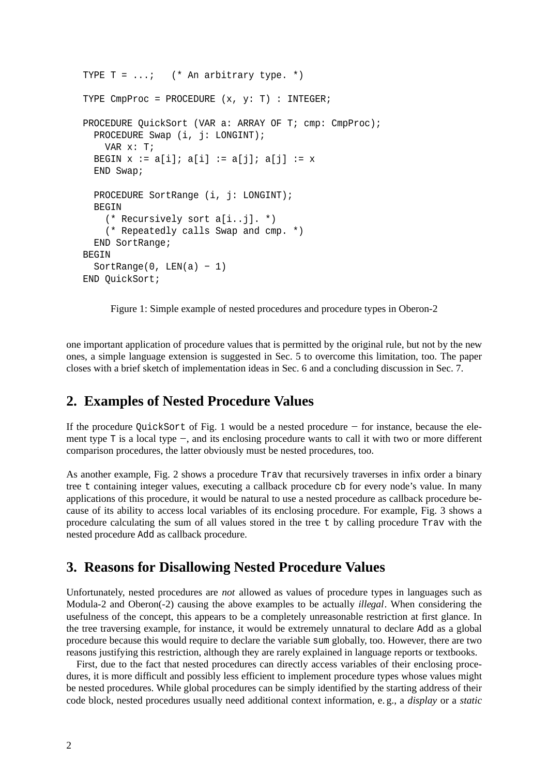```
TYPE T = ...; (* An arbitrary type. *)
TYPE CmpProc = PROCEDURE (x, y: T) : INTERGER;PROCEDURE QuickSort (VAR a: ARRAY OF T; cmp: CmpProc);
  PROCEDURE Swap (i, j: LONGINT);
   VAR x: T;
  BEGIN x := a[i]; a[i] := a[j]; a[j] := xEND Swap;
  PROCEDURE SortRange (i, j: LONGINT);
  BEGIN
   (* Recursively sort a[i..j]. *)
    (* Repeatedly calls Swap and cmp. *)
  END SortRange;
BEGIN
  SortRange(0, LEN(a) - 1)
END QuickSort;
```
Figure 1: Simple example of nested procedures and procedure types in Oberon-2

one important application of procedure values that is permitted by the original rule, but not by the new ones, a simple language extension is suggested in Sec. 5 to overcome this limitation, too. The paper closes with a brief sketch of implementation ideas in Sec. 6 and a concluding discussion in Sec. 7.

### **2. Examples of Nested Procedure Values**

If the procedure QuickSort of Fig. 1 would be a nested procedure −− for instance, because the element type T is a local type −−, and its enclosing procedure wants to call it with two or more different comparison procedures, the latter obviously must be nested procedures, too.

As another example, Fig. 2 shows a procedure Trav that recursively traverses in infix order a binary tree t containing integer values, executing a callback procedure cb for every node's value. In many applications of this procedure, it would be natural to use a nested procedure as callback procedure because of its ability to access local variables of its enclosing procedure. For example, Fig. 3 shows a procedure calculating the sum of all values stored in the tree t by calling procedure Trav with the nested procedure Add as callback procedure.

#### **3. Reasons for Disallowing Nested Procedure Values**

Unfortunately, nested procedures are *not* allowed as values of procedure types in languages such as Modula-2 and Oberon(-2) causing the above examples to be actually *illegal*. When considering the usefulness of the concept, this appears to be a completely unreasonable restriction at first glance. In the tree traversing example, for instance, it would be extremely unnatural to declare Add as a global procedure because this would require to declare the variable sum globally, too. However, there are two reasons justifying this restriction, although they are rarely explained in language reports or textbooks.

First, due to the fact that nested procedures can directly access variables of their enclosing procedures, it is more difficult and possibly less efficient to implement procedure types whose values might be nested procedures. While global procedures can be simply identified by the starting address of their code block, nested procedures usually need additional context information, e. g., a *display* or a *static*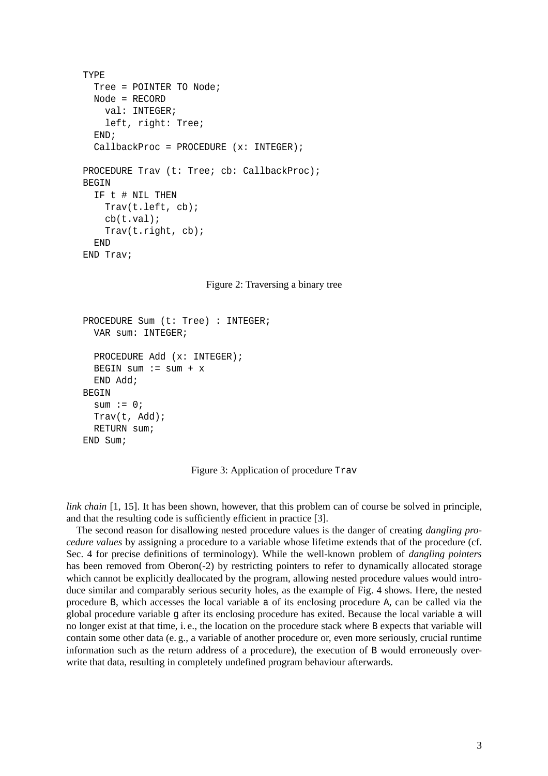```
TYPE
  Tree = POINTER TO Node;
 Node = RECORD
    val: INTEGER;
    left, right: Tree;
  END;
  CallbackProc = PROCEDURE (x: INTEGER);
PROCEDURE Trav (t: Tree; cb: CallbackProc);
BEGIN
  IF t # NIL THEN
    Trav(t.left, cb);
    cb(t.val);
    Trav(t.right, cb);
  END
END Trav;
```
Figure 2: Traversing a binary tree

```
PROCEDURE Sum (t: Tree) : INTEGER;
 VAR sum: INTEGER;
  PROCEDURE Add (x: INTEGER);
  BEGIN sum := sum + x
  END Add;
BEGIN
  sum := 0;Trav(t, Add);
  RETURN sum;
END Sum;
```
Figure 3: Application of procedure Trav

*link chain* [1, 15]. It has been shown, however, that this problem can of course be solved in principle, and that the resulting code is sufficiently efficient in practice [3].

The second reason for disallowing nested procedure values is the danger of creating *dangling procedure values* by assigning a procedure to a variable whose lifetime extends that of the procedure (cf. Sec. 4 for precise definitions of terminology). While the well-known problem of *dangling pointers* has been removed from Oberon(-2) by restricting pointers to refer to dynamically allocated storage which cannot be explicitly deallocated by the program, allowing nested procedure values would introduce similar and comparably serious security holes, as the example of Fig. 4 shows. Here, the nested procedure B, which accesses the local variable a of its enclosing procedure A, can be called via the global procedure variable g after its enclosing procedure has exited. Because the local variable a will no longer exist at that time, i. e., the location on the procedure stack where B expects that variable will contain some other data (e. g., a variable of another procedure or, even more seriously, crucial runtime information such as the return address of a procedure), the execution of B would erroneously overwrite that data, resulting in completely undefined program behaviour afterwards.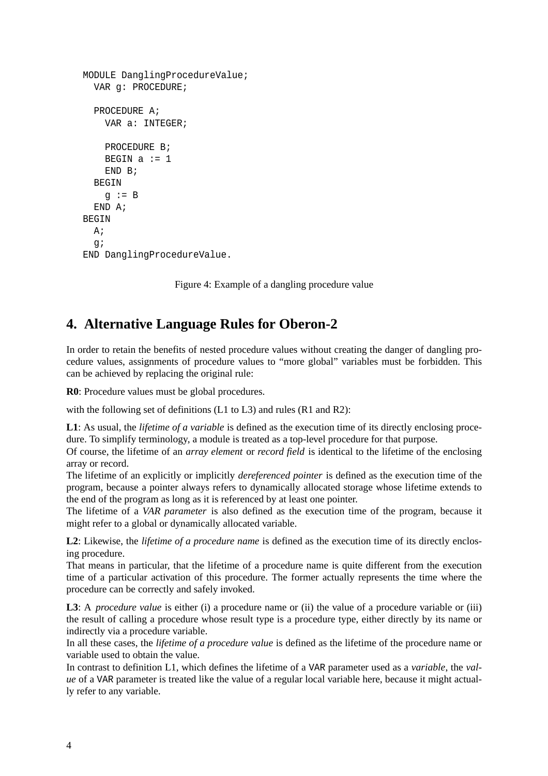```
MODULE DanglingProcedureValue;
  VAR g: PROCEDURE;
  PROCEDURE A;
    VAR a: INTEGER;
    PROCEDURE B;
    BEGIN a := 1END B;
  BEGIN
    g := B
  END A;
BEGIN
 A;
  g;
END DanglingProcedureValue.
```
Figure 4: Example of a dangling procedure value

## **4. Alternative Language Rules for Oberon-2**

In order to retain the benefits of nested procedure values without creating the danger of dangling procedure values, assignments of procedure values to "more global" variables must be forbidden. This can be achieved by replacing the original rule:

**R0**: Procedure values must be global procedures.

with the following set of definitions (L1 to L3) and rules (R1 and R2):

**L1**: As usual, the *lifetime of a variable* is defined as the execution time of its directly enclosing procedure. To simplify terminology, a module is treated as a top-level procedure for that purpose.

Of course, the lifetime of an *array element* or *record field* is identical to the lifetime of the enclosing array or record.

The lifetime of an explicitly or implicitly *dereferenced pointer* is defined as the execution time of the program, because a pointer always refers to dynamically allocated storage whose lifetime extends to the end of the program as long as it is referenced by at least one pointer.

The lifetime of a *VAR parameter* is also defined as the execution time of the program, because it might refer to a global or dynamically allocated variable.

**L2**: Likewise, the *lifetime of a procedure name* is defined as the execution time of its directly enclosing procedure.

That means in particular, that the lifetime of a procedure name is quite different from the execution time of a particular activation of this procedure. The former actually represents the time where the procedure can be correctly and safely invoked.

**L3**: A *procedure value* is either (i) a procedure name or (ii) the value of a procedure variable or (iii) the result of calling a procedure whose result type is a procedure type, either directly by its name or indirectly via a procedure variable.

In all these cases, the *lifetime of a procedure value* is defined as the lifetime of the procedure name or variable used to obtain the value.

In contrast to definition L1, which defines the lifetime of a VAR parameter used as a *variable*, the *value* of a VAR parameter is treated like the value of a regular local variable here, because it might actually refer to any variable.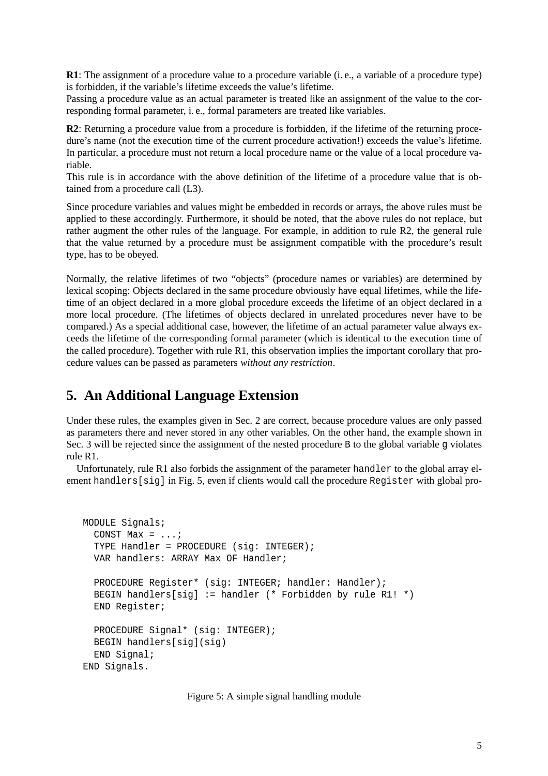**R1**: The assignment of a procedure value to a procedure variable (i.e., a variable of a procedure type) is forbidden, if the variable's lifetime exceeds the value's lifetime.

Passing a procedure value as an actual parameter is treated like an assignment of the value to the corresponding formal parameter, i. e., formal parameters are treated like variables.

**R2**: Returning a procedure value from a procedure is forbidden, if the lifetime of the returning procedure's name (not the execution time of the current procedure activation!) exceeds the value's lifetime. In particular, a procedure must not return a local procedure name or the value of a local procedure variable.

This rule is in accordance with the above definition of the lifetime of a procedure value that is obtained from a procedure call (L3).

Since procedure variables and values might be embedded in records or arrays, the above rules must be applied to these accordingly. Furthermore, it should be noted, that the above rules do not replace, but rather augment the other rules of the language. For example, in addition to rule R2, the general rule that the value returned by a procedure must be assignment compatible with the procedure's result type, has to be obeyed.

Normally, the relative lifetimes of two "objects" (procedure names or variables) are determined by lexical scoping: Objects declared in the same procedure obviously have equal lifetimes, while the lifetime of an object declared in a more global procedure exceeds the lifetime of an object declared in a more local procedure. (The lifetimes of objects declared in unrelated procedures never have to be compared.) As a special additional case, however, the lifetime of an actual parameter value always exceeds the lifetime of the corresponding formal parameter (which is identical to the execution time of the called procedure). Together with rule R1, this observation implies the important corollary that procedure values can be passed as parameters *without any restriction*.

### **5. An Additional Language Extension**

Under these rules, the examples given in Sec. 2 are correct, because procedure values are only passed as parameters there and never stored in any other variables. On the other hand, the example shown in Sec. 3 will be rejected since the assignment of the nested procedure B to the global variable g violates rule R1.

Unfortunately, rule R1 also forbids the assignment of the parameter handler to the global array element handlers[sig] in Fig. 5, even if clients would call the procedure Register with global pro-

```
MODULE Signals;
  CONST Max = ...;
  TYPE Handler = PROCEDURE (sig: INTEGER);
  VAR handlers: ARRAY Max OF Handler;
  PROCEDURE Register* (sig: INTEGER; handler: Handler);
  BEGIN handlers[sig] := handler (* Forbidden by rule R1! *)
  END Register;
  PROCEDURE Signal* (sig: INTEGER);
  BEGIN handlers[sig](sig)
  END Signal;
END Signals.
```
Figure 5: A simple signal handling module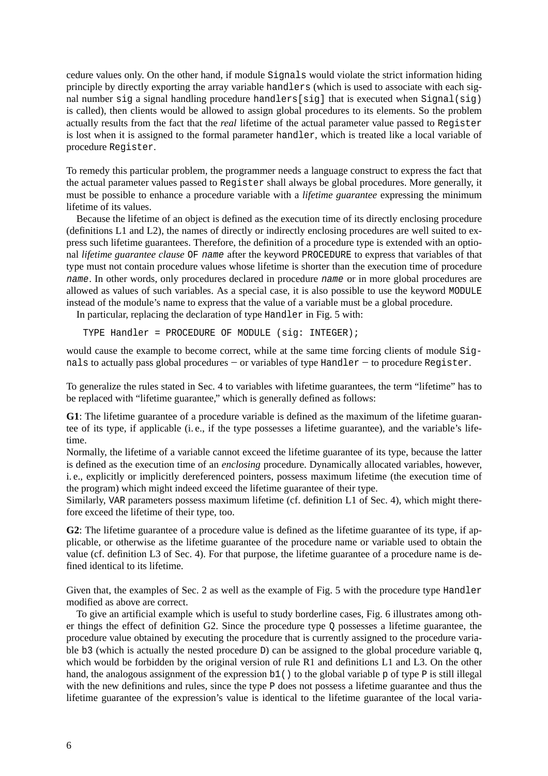cedure values only. On the other hand, if module Signals would violate the strict information hiding principle by directly exporting the array variable handlers (which is used to associate with each signal number sig a signal handling procedure handlers[sig] that is executed when Signal(sig) is called), then clients would be allowed to assign global procedures to its elements. So the problem actually results from the fact that the *real* lifetime of the actual parameter value passed to Register is lost when it is assigned to the formal parameter handler, which is treated like a local variable of procedure Register.

To remedy this particular problem, the programmer needs a language construct to express the fact that the actual parameter values passed to Register shall always be global procedures. More generally, it must be possible to enhance a procedure variable with a *lifetime guarantee* expressing the minimum lifetime of its values.

Because the lifetime of an object is defined as the execution time of its directly enclosing procedure (definitions L1 and L2), the names of directly or indirectly enclosing procedures are well suited to express such lifetime guarantees. Therefore, the definition of a procedure type is extended with an optional *lifetime guarantee clause* OF name after the keyword PROCEDURE to express that variables of that type must not contain procedure values whose lifetime is shorter than the execution time of procedure name. In other words, only procedures declared in procedure name or in more global procedures are allowed as values of such variables. As a special case, it is also possible to use the keyword MODULE instead of the module's name to express that the value of a variable must be a global procedure.

In particular, replacing the declaration of type Handler in Fig. 5 with:

TYPE Handler = PROCEDURE OF MODULE (sig: INTEGER);

would cause the example to become correct, while at the same time forcing clients of module Signals to actually pass global procedures – or variables of type Handler – to procedure Reqister.

To generalize the rules stated in Sec. 4 to variables with lifetime guarantees, the term "lifetime" has to be replaced with "lifetime guarantee," which is generally defined as follows:

**G1**: The lifetime guarantee of a procedure variable is defined as the maximum of the lifetime guarantee of its type, if applicable (i. e., if the type possesses a lifetime guarantee), and the variable's lifetime.

Normally, the lifetime of a variable cannot exceed the lifetime guarantee of its type, because the latter is defined as the execution time of an *enclosing* procedure. Dynamically allocated variables, however, i. e., explicitly or implicitly dereferenced pointers, possess maximum lifetime (the execution time of the program) which might indeed exceed the lifetime guarantee of their type.

Similarly, VAR parameters possess maximum lifetime (cf. definition L1 of Sec. 4), which might therefore exceed the lifetime of their type, too.

**G2**: The lifetime guarantee of a procedure value is defined as the lifetime guarantee of its type, if applicable, or otherwise as the lifetime guarantee of the procedure name or variable used to obtain the value (cf. definition L3 of Sec. 4). For that purpose, the lifetime guarantee of a procedure name is defined identical to its lifetime.

Given that, the examples of Sec. 2 as well as the example of Fig. 5 with the procedure type Handler modified as above are correct.

To give an artificial example which is useful to study borderline cases, Fig. 6 illustrates among other things the effect of definition G2. Since the procedure type Q possesses a lifetime guarantee, the procedure value obtained by executing the procedure that is currently assigned to the procedure variable b3 (which is actually the nested procedure D) can be assigned to the global procedure variable q, which would be forbidden by the original version of rule R1 and definitions L1 and L3. On the other hand, the analogous assignment of the expression b1() to the global variable p of type P is still illegal with the new definitions and rules, since the type P does not possess a lifetime guarantee and thus the lifetime guarantee of the expression's value is identical to the lifetime guarantee of the local varia-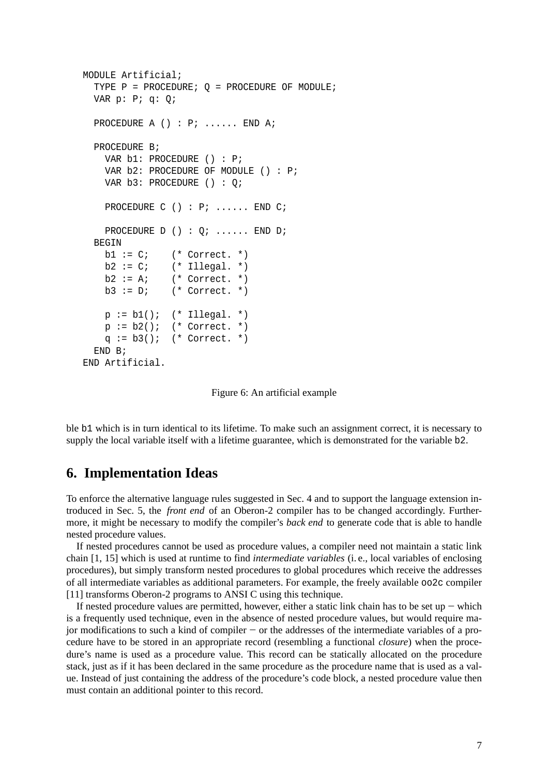```
MODULE Artificial;
  TYPE P = \text{PROCEDURE}; Q = \text{PROCEDURE OF MODULE};
  VAR p: P; q: Q;
  PROCEDURE A () : P; ...... END A;
  PROCEDURE B;
    VAR b1: PROCEDURE () : P;
    VAR b2: PROCEDURE OF MODULE () : P;
   VAR b3: PROCEDURE () : Q;
    PROCEDURE C () : P; ...... END C;
    PROCEDURE D () : Q; ...... END D;
  BEGIN
   b1 := C; (* Correct. *)
   b2 := C; (* Illegal. *)
   b2 := Ai (* Correct. *)
    b3 := D; (* Correct. *)
    p := b1(); (* Illegal. *)
    p := b2(); (* Correct. *)
    q := b3(); (* Correct. *)
  END B;
END Artificial.
```
Figure 6: An artificial example

ble b1 which is in turn identical to its lifetime. To make such an assignment correct, it is necessary to supply the local variable itself with a lifetime guarantee, which is demonstrated for the variable b2.

#### **6. Implementation Ideas**

To enforce the alternative language rules suggested in Sec. 4 and to support the language extension introduced in Sec. 5, the *front end* of an Oberon-2 compiler has to be changed accordingly. Furthermore, it might be necessary to modify the compiler's *back end* to generate code that is able to handle nested procedure values.

If nested procedures cannot be used as procedure values, a compiler need not maintain a static link chain [1, 15] which is used at runtime to find *intermediate variables* (i. e., local variables of enclosing procedures), but simply transform nested procedures to global procedures which receive the addresses of all intermediate variables as additional parameters. For example, the freely available oo2c compiler [11] transforms Oberon-2 programs to ANSI C using this technique.

If nested procedure values are permitted, however, either a static link chain has to be set up −− which is a frequently used technique, even in the absence of nested procedure values, but would require major modifications to such a kind of compiler −− or the addresses of the intermediate variables of a procedure have to be stored in an appropriate record (resembling a functional *closure*) when the procedure's name is used as a procedure value. This record can be statically allocated on the procedure stack, just as if it has been declared in the same procedure as the procedure name that is used as a value. Instead of just containing the address of the procedure's code block, a nested procedure value then must contain an additional pointer to this record.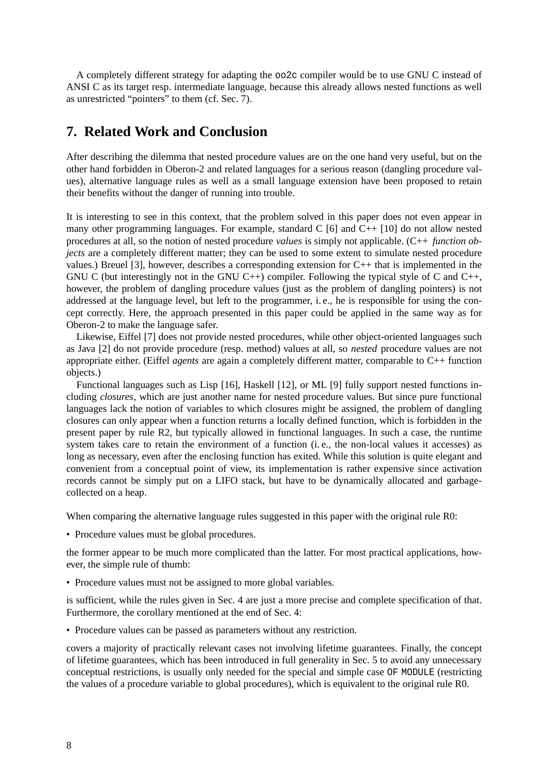A completely different strategy for adapting the oo2c compiler would be to use GNU C instead of ANSI C as its target resp. intermediate language, because this already allows nested functions as well as unrestricted "pointers" to them (cf. Sec. 7).

### **7. Related Work and Conclusion**

After describing the dilemma that nested procedure values are on the one hand very useful, but on the other hand forbidden in Oberon-2 and related languages for a serious reason (dangling procedure values), alternative language rules as well as a small language extension have been proposed to retain their benefits without the danger of running into trouble.

It is interesting to see in this context, that the problem solved in this paper does not even appear in many other programming languages. For example, standard  $C$  [6] and  $C_{++}$  [10] do not allow nested procedures at all, so the notion of nested procedure *values* is simply not applicable. (C++ *function objects* are a completely different matter; they can be used to some extent to simulate nested procedure values.) Breuel [3], however, describes a corresponding extension for C++ that is implemented in the GNU C (but interestingly not in the GNU C++) compiler. Following the typical style of C and C++, however, the problem of dangling procedure values (just as the problem of dangling pointers) is not addressed at the language level, but left to the programmer, i. e., he is responsible for using the concept correctly. Here, the approach presented in this paper could be applied in the same way as for Oberon-2 to make the language safer.

Likewise, Eiffel [7] does not provide nested procedures, while other object-oriented languages such as Java [2] do not provide procedure (resp. method) values at all, so *nested* procedure values are not appropriate either. (Eiffel *agents* are again a completely different matter, comparable to C++ function objects.)

Functional languages such as Lisp [16], Haskell [12], or ML [9] fully support nested functions including *closures*, which are just another name for nested procedure values. But since pure functional languages lack the notion of variables to which closures might be assigned, the problem of dangling closures can only appear when a function returns a locally defined function, which is forbidden in the present paper by rule R2, but typically allowed in functional languages. In such a case, the runtime system takes care to retain the environment of a function (i. e., the non-local values it accesses) as long as necessary, even after the enclosing function has exited. While this solution is quite elegant and convenient from a conceptual point of view, its implementation is rather expensive since activation records cannot be simply put on a LIFO stack, but have to be dynamically allocated and garbagecollected on a heap.

When comparing the alternative language rules suggested in this paper with the original rule R0:

• Procedure values must be global procedures.

the former appear to be much more complicated than the latter. For most practical applications, however, the simple rule of thumb:

• Procedure values must not be assigned to more global variables.

is sufficient, while the rules given in Sec. 4 are just a more precise and complete specification of that. Furthermore, the corollary mentioned at the end of Sec. 4:

• Procedure values can be passed as parameters without any restriction.

covers a majority of practically relevant cases not involving lifetime guarantees. Finally, the concept of lifetime guarantees, which has been introduced in full generality in Sec. 5 to avoid any unnecessary conceptual restrictions, is usually only needed for the special and simple case OF MODULE (restricting the values of a procedure variable to global procedures), which is equivalent to the original rule R0.